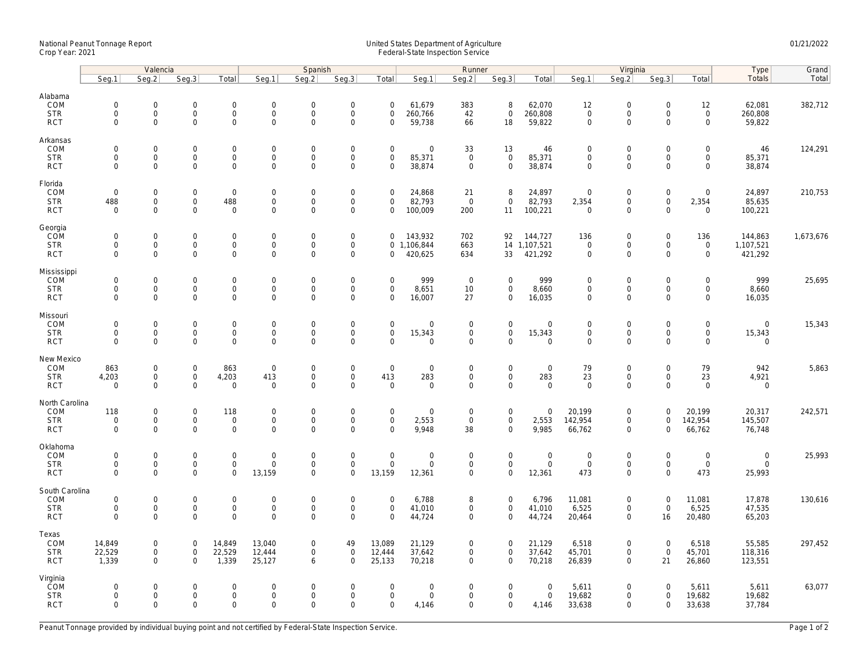## National Peanut Tonnage Report United States Department of Agriculture 01/21/2022 Crop Year: 2021 Federal-State Inspection Service

|                                                   | Valencia                                     |                                                           |                                                   |                                                        | Spanish                                            |                                           |                                                           |                                           | Runner                                               |                                           |                                                           |                                       | Virginia                                          |                                                                   |                                           |                                                    | Type                                          | Grand     |
|---------------------------------------------------|----------------------------------------------|-----------------------------------------------------------|---------------------------------------------------|--------------------------------------------------------|----------------------------------------------------|-------------------------------------------|-----------------------------------------------------------|-------------------------------------------|------------------------------------------------------|-------------------------------------------|-----------------------------------------------------------|---------------------------------------|---------------------------------------------------|-------------------------------------------------------------------|-------------------------------------------|----------------------------------------------------|-----------------------------------------------|-----------|
|                                                   | Seq.1                                        | Seg.2                                                     | Seq.3                                             | Total                                                  | Seg.1                                              | Seq.2                                     | Seg.3                                                     | Total                                     | Seg.1                                                | Seq.2                                     | Seq.3                                                     | Total                                 | Seg.1                                             | Seq.2                                                             | Seq.3                                     | Total                                              | Totals                                        | Total     |
| Alabama<br>COM<br><b>STR</b><br><b>RCT</b>        | $\mathbf 0$<br>$\mathbf 0$<br>$\mathbf 0$    | $\mathsf{O}\xspace$<br>$\mathsf{O}\xspace$<br>$\mathbf 0$ | $\mathbf 0$<br>$\mathbf 0$<br>$\mathbf 0$         | $\mathsf{O}\xspace$<br>$\boldsymbol{0}$<br>$\mathbf 0$ | $\mathbf 0$<br>$\mathsf{O}\xspace$<br>$\mathsf{O}$ | $\mathbf 0$<br>$\mathbf 0$<br>$\mathbf 0$ | $\mathsf{O}\xspace$<br>$\mathsf{O}\xspace$<br>$\mathbf 0$ | $\mathsf 0$<br>$\mathbf 0$<br>$\mathbf 0$ | 61,679<br>260,766<br>59,738                          | 383<br>42<br>66                           | 8<br>$\mathsf 0$<br>18                                    | 62,070<br>260,808<br>59,822           | 12<br>$\mathbf 0$<br>$\mathsf{O}\xspace$          | $\mathsf{O}\xspace$<br>$\mathsf{O}$<br>$\mathbf 0$                | $\mathsf 0$<br>$\mathbf 0$<br>$\mathbf 0$ | 12<br>$\mathsf{O}$<br>$\mathsf{O}$                 | 62,081<br>260,808<br>59,822                   | 382,712   |
| Arkansas<br>COM<br><b>STR</b><br><b>RCT</b>       | $\mathbf 0$<br>$\mathbf 0$<br>$\mathbf 0$    | $\mathbf 0$<br>$\mathbf 0$<br>$\mathbf 0$                 | $\mathbf 0$<br>$\mathbf 0$<br>$\mathbf 0$         | $\mathsf{O}\xspace$<br>$\mathbf{O}$<br>$\mathbf 0$     | $\mathbf 0$<br>$\mathbf 0$<br>$\mathsf 0$          | $\mathbf 0$<br>$\mathbf 0$<br>$\mathbf 0$ | $\mathsf{O}\xspace$<br>$\mathbf 0$<br>$\mathsf{O}\xspace$ | $\mathbf 0$<br>$\mathbf 0$<br>$\mathbf 0$ | $\mathsf{O}\xspace$<br>85,371<br>38,874              | 33<br>$\mathbf{0}$<br>$\mathbf 0$         | 13<br>$\mathbf 0$<br>$\mathbf 0$                          | 46<br>85,371<br>38,874                | $\mathbf 0$<br>$\mathbf 0$<br>$\mathbf 0$         | $\mathbf 0$<br>$\mathbf 0$<br>$\mathbf 0$                         | $\mathbf 0$<br>$\mathbf 0$<br>$\mathbf 0$ | $\mathsf{O}\xspace$<br>$\mathbf{0}$<br>$\mathbf 0$ | 46<br>85,371<br>38,874                        | 124,291   |
| Florida<br>COM<br><b>STR</b><br><b>RCT</b>        | $\mathbf 0$<br>488<br>$\Omega$               | $\mathsf{O}\xspace$<br>$\mathsf{O}\xspace$<br>$\Omega$    | $\mathbf 0$<br>$\mathbf 0$<br>$\Omega$            | $\mathbf 0$<br>488<br>$\mathbf 0$                      | $\mathbf 0$<br>$\mathbf 0$<br>$\Omega$             | $\mathbf 0$<br>$\mathsf 0$<br>$\Omega$    | $\mathsf{O}\xspace$<br>$\mathsf{O}\xspace$<br>$\Omega$    | $\mathsf 0$<br>$\mathbf 0$<br>$\Omega$    | 24,868<br>82,793<br>100,009                          | 21<br>$\overline{0}$<br>200               | 8<br>$\mathbf 0$<br>11                                    | 24,897<br>82,793<br>100,221           | $\mathbf 0$<br>2,354<br>$\Omega$                  | $\mathsf{O}\xspace$<br>$\mathsf{O}\xspace$<br>$\Omega$            | $\mathsf 0$<br>$\mathsf 0$<br>$\Omega$    | $\mathsf{O}\xspace$<br>2,354<br>$\Omega$           | 24,897<br>85,635<br>100,221                   | 210,753   |
| Georgia<br>COM<br><b>STR</b><br><b>RCT</b>        | $\mathbf 0$<br>$\mathbf 0$<br>$\mathbf 0$    | $\mathsf{O}\xspace$<br>$\mathsf{O}\xspace$<br>$\mathbf 0$ | $\mathbf 0$<br>$\mathbf 0$<br>$\mathbf 0$         | $\mathsf{O}\xspace$<br>0<br>$\mathbf{O}$               | $\mathsf{O}$<br>$\mathsf{O}$<br>$\mathbf 0$        | $\mathbf 0$<br>$\mathbf 0$<br>$\mathbf 0$ | $\mathsf{O}\xspace$<br>$\mathsf{O}\xspace$<br>$\mathbf 0$ | 0<br>0                                    | 143,932<br>0 1,106,844<br>420,625                    | 702<br>663<br>634                         | 92<br>33                                                  | 144,727<br>14 1,107,521<br>421,292    | 136<br>$\boldsymbol{0}$<br>$\mathbf 0$            | $\mathbf 0$<br>$\mathsf{O}\xspace$<br>$\mathbf 0$                 | $\mathsf 0$<br>0<br>$\mathbf 0$           | 136<br>$\mathsf{O}\xspace$<br>$\mathbf{0}$         | 144,863<br>1,107,521<br>421,292               | 1,673,676 |
| Mississippi<br>COM<br><b>STR</b><br><b>RCT</b>    | $\mathbf 0$<br>$\mathbf 0$<br>$\mathbf 0$    | $\mathbf{0}$<br>$\mathsf{O}\xspace$<br>$\mathbf 0$        | 0<br>$\mathsf{O}\xspace$<br>$\mathbf 0$           | 0<br>$\mathsf{O}$<br>$\mathbf 0$                       | $\mathbf 0$<br>$\mathsf{O}$<br>$\mathbf 0$         | $\mathbf 0$<br>$\mathbf 0$<br>$\mathbf 0$ | $\mathsf{O}\xspace$<br>$\mathsf 0$<br>$\mathbf 0$         | $\mathbf 0$<br>$\mathsf 0$<br>$\mathbf 0$ | 999<br>8,651<br>16,007                               | $\overline{0}$<br>10<br>27                | $\mathbf 0$<br>$\mathsf{O}$<br>$\mathbf 0$                | 999<br>8,660<br>16,035                | $\mathbf 0$<br>$\mathsf{O}\xspace$<br>$\mathbf 0$ | $\mathbf 0$<br>$\mathsf{O}\xspace$<br>$\mathbf 0$                 | $\Omega$<br>$\mathbf 0$<br>$\mathbf 0$    | $\mathbf 0$<br>$\mathsf{O}$<br>$\mathbf 0$         | 999<br>8,660<br>16,035                        | 25,695    |
| Missouri<br>COM<br><b>STR</b><br><b>RCT</b>       | $\mathbf 0$<br>$\mathbf 0$<br>$\mathbf 0$    | $\mathbf 0$<br>$\mathbf 0$<br>$\mathsf{O}\xspace$         | $\mathbf 0$<br>$\mathbf 0$<br>$\mathbf 0$         | $\mathbf{0}$<br>$\mathbf 0$<br>$\mathsf{O}\xspace$     | $\mathsf{O}$<br>$\mathsf{O}$<br>$\mathbf 0$        | $\mathbf 0$<br>$\mathsf 0$<br>$\mathbf 0$ | $\mathsf 0$<br>$\mathsf{O}\xspace$<br>$\mathbf 0$         | $\mathbf 0$<br>$\mathsf 0$<br>$\Omega$    | $\mathbf 0$<br>15,343<br>$\mathbf 0$                 | $\mathbf 0$<br>$\mathbf 0$<br>$\mathbf 0$ | $\mathbf 0$<br>$\mathsf{O}\xspace$<br>$\mathbf 0$         | $\mathbf 0$<br>15,343<br>$\mathbf 0$  | $\mathbf 0$<br>$\mathsf{O}\xspace$<br>$\mathbf 0$ | $\mathbf 0$<br>$\mathbf 0$<br>$\mathbf 0$                         | $\mathbf 0$<br>$\mathsf 0$<br>$\mathbf 0$ | $\mathbf 0$<br>$\mathbf 0$<br>$\mathbf 0$          | $\mathbf{0}$<br>15,343<br>$\mathbf 0$         | 15,343    |
| New Mexico<br>COM<br><b>STR</b><br><b>RCT</b>     | 863<br>4,203<br>$\mathbf 0$                  | $\mathsf{O}\xspace$<br>$\mathsf{O}\xspace$<br>$\mathbf 0$ | $\mathbf 0$<br>$\mathbf 0$<br>$\mathbf 0$         | 863<br>4,203<br>$\mathbf 0$                            | $\mathbf 0$<br>413<br>$\mathbf 0$                  | $\mathbf 0$<br>$\mathbf 0$<br>$\mathbf 0$ | $\mathsf{O}\xspace$<br>$\mathsf{O}\xspace$<br>$\mathbf 0$ | $\mathsf 0$<br>413<br>$\mathbf 0$         | $\mathsf{O}\xspace$<br>283<br>$\mathbf 0$            | $\mathbf 0$<br>$\mathbf 0$<br>$\mathbf 0$ | $\mathbf 0$<br>$\mathsf{O}\xspace$<br>$\mathbf 0$         | $\mathbf 0$<br>283<br>$\mathsf{O}$    | 79<br>23<br>$\mathbf 0$                           | $\mathsf{O}\xspace$<br>$\mathsf{O}\xspace$<br>$\mathsf{O}\xspace$ | $\mathbf 0$<br>$\mathbf 0$<br>$\Omega$    | 79<br>23<br>$\mathbf 0$                            | 942<br>4,921<br>$\mathbf 0$                   | 5,863     |
| North Carolina<br>COM<br><b>STR</b><br><b>RCT</b> | 118<br>$\mathbf 0$<br>$\mathbf 0$            | 0<br>$\mathsf{O}\xspace$<br>$\mathbf 0$                   | $\mathbf 0$<br>$\mathbf 0$<br>$\mathbf 0$         | 118<br>$\mathsf 0$<br>$\mathbf 0$                      | $\boldsymbol{0}$<br>$\mathbf 0$<br>$\mathbf 0$     | $\mathbf 0$<br>$\mathbf 0$<br>$\mathbf 0$ | $\mathsf{O}\xspace$<br>$\mathsf{O}\xspace$<br>$\mathbf 0$ | $\mathbf 0$<br>$\mathbf 0$<br>$\mathbf 0$ | $\mathbf 0$<br>2,553<br>9,948                        | $\mathbf 0$<br>$\mathbf 0$<br>38          | $\mathsf{O}\xspace$<br>$\mathsf{O}\xspace$<br>$\mathbf 0$ | $\mathbf 0$<br>2,553<br>9,985         | 20,199<br>142,954<br>66,762                       | $\mathsf{O}\xspace$<br>$\mathbf 0$<br>$\mathbf 0$                 | $\overline{0}$<br>$\mathbf 0$<br>$\Omega$ | 20,199<br>142,954<br>66,762                        | 20,317<br>145,507<br>76,748                   | 242,571   |
| Oklahoma<br>COM<br><b>STR</b><br><b>RCT</b>       | $\overline{0}$<br>$\mathbf 0$<br>$\mathbf 0$ | $\mathsf{O}\xspace$<br>$\mathsf{O}\xspace$<br>$\mathbf 0$ | $\mathsf{O}\xspace$<br>$\mathbf 0$<br>$\mathbf 0$ | $\mathsf{O}\xspace$<br>$\mathbf 0$<br>$\mathbf{0}$     | $\mathbf 0$<br>$\mathsf{O}$<br>13,159              | $\mathbf 0$<br>$\mathsf 0$<br>$\Omega$    | $\mathsf{O}\xspace$<br>$\mathsf{O}\xspace$<br>$\mathbf 0$ | $\mathbf 0$<br>$\mathsf 0$<br>13,159      | $\mathsf{O}\xspace$<br>$\mathsf{O}\xspace$<br>12,361 | $\mathbf 0$<br>$\mathbf 0$<br>$\mathbf 0$ | $\mathbf 0$<br>$\mathbf 0$<br>$\mathbf 0$                 | $\mathbf 0$<br>$\mathsf{O}$<br>12,361 | $\mathbf 0$<br>$\mathbf 0$<br>473                 | $\mathsf{O}\xspace$<br>$\mathsf{O}\xspace$<br>$\mathbf 0$         | $\Omega$<br>$\mathsf 0$<br>$\Omega$       | $\mathsf{O}\xspace$<br>$\mathbf 0$<br>473          | $\mathsf{O}$<br>$\mathsf{O}\xspace$<br>25,993 | 25,993    |
| South Carolina<br>COM<br><b>STR</b><br><b>RCT</b> | $\mathbf 0$<br>$\mathbf 0$<br>$\Omega$       | $\mathsf{O}\xspace$<br>$\mathsf{O}\xspace$<br>$\Omega$    | $\mathbf 0$<br>$\mathbf 0$<br>$\Omega$            | $\mathbf 0$<br>$\mathsf{O}\xspace$<br>$\mathbf 0$      | $\mathbf 0$<br>$\mathbf 0$<br>$\Omega$             | $\mathbf 0$<br>$\mathsf 0$<br>$\Omega$    | $\mathsf{O}\xspace$<br>$\mathsf{O}\xspace$<br>$\Omega$    | $\mathbf 0$<br>$\mathsf 0$<br>$\Omega$    | 6,788<br>41,010<br>44,724                            | 8<br>0<br>0                               | $\mathbf 0$<br>$\mathbf 0$<br>$\mathbf{0}$                | 6,796<br>41,010<br>44,724             | 11,081<br>6,525<br>20,464                         | $\mathsf{O}\xspace$<br>$\mathsf{O}\xspace$<br>$\mathbf 0$         | $\mathbf 0$<br>$\mathsf 0$<br>16          | 11,081<br>6,525<br>20,480                          | 17,878<br>47,535<br>65,203                    | 130,616   |
| Texas<br>COM<br><b>STR</b><br><b>RCT</b>          | 14,849<br>22,529<br>1,339                    | 0<br>$\mathsf{O}\xspace$<br>$\mathbf{0}$                  | $\mathbf 0$<br>$\mathbf 0$<br>$\mathbf 0$         | 14,849<br>22,529<br>1,339                              | 13,040<br>12,444<br>25,127                         | $\mathbf 0$<br>$\mathbf 0$<br>6           | 49<br>$\mathsf{O}\xspace$<br>$\mathbf 0$                  | 13,089<br>12,444<br>25,133                | 21,129<br>37,642<br>70,218                           | 0<br>0<br>$\mathbf 0$                     | $\mathbf 0$<br>$\mathsf{O}\xspace$<br>$\mathbf{0}$        | 21,129<br>37,642<br>70,218            | 6,518<br>45,701<br>26,839                         | $\mathbf 0$<br>$\mathbf 0$<br>$\mathbf 0$                         | $\mathbf 0$<br>$\mathsf 0$<br>21          | 6,518<br>45,701<br>26,860                          | 55,585<br>118,316<br>123,551                  | 297,452   |
| Virginia<br>COM<br><b>STR</b><br><b>RCT</b>       | $\mathbf 0$<br>$\mathbf 0$<br>$\mathbf 0$    | $\mathbf{0}$<br>$\mathsf{O}\xspace$<br>$\mathbf 0$        | 0<br>$\mathbf 0$<br>$\mathbf 0$                   | $\mathbf 0$<br>$\mathsf{O}\xspace$<br>$\mathbf 0$      | $\mathbf 0$<br>$\mathsf{O}$<br>$\mathbf 0$         | $\mathbf 0$<br>$\mathsf 0$<br>$\Omega$    | $\mathbf 0$<br>$\mathsf{O}\xspace$<br>$\mathbf 0$         | $\mathbf 0$<br>$\mathbf 0$<br>$\mathbf 0$ | $\mathbf 0$<br>$\mathsf{O}\xspace$<br>4,146          | 0<br>0<br>0                               | $\mathbf 0$<br>$\mathbf 0$<br>$\mathbf 0$                 | $\mathbf 0$<br>$\mathsf 0$<br>4,146   | 5,611<br>19,682<br>33,638                         | $\mathbf 0$<br>$\mathsf{O}\xspace$<br>$\mathbf 0$                 | $\Omega$<br>$\mathbf 0$<br>$\mathbf 0$    | 5,611<br>19,682<br>33,638                          | 5,611<br>19,682<br>37,784                     | 63,077    |

Peanut Tonnage provided by individual buying point and not certified by Federal-State Inspection Service. Page 1 of 2